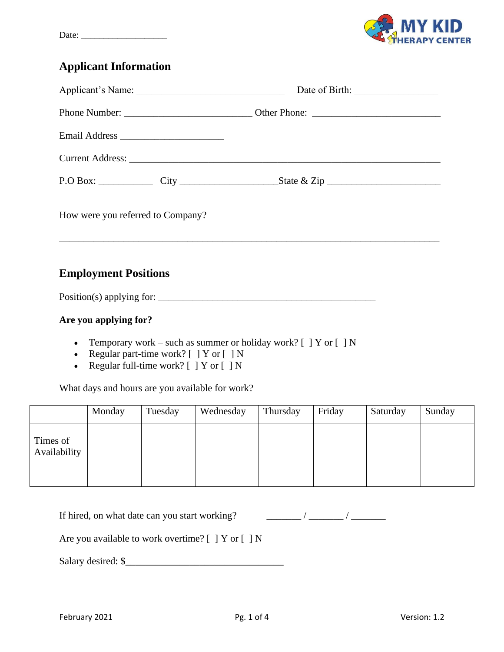| Date: |  |
|-------|--|
|       |  |



## **Applicant Information**

| How were you referred to Company?                                                                                                                                                             |  |
|-----------------------------------------------------------------------------------------------------------------------------------------------------------------------------------------------|--|
| <b>Employment Positions</b>                                                                                                                                                                   |  |
|                                                                                                                                                                                               |  |
| Are you applying for?                                                                                                                                                                         |  |
| Temporary work – such as summer or holiday work? $[ \ ]$ Y or $[ \ ]$ N<br>$\bullet$<br>Regular part-time work? $[$ $]$ Y or $[$ $]$ N<br>$\bullet$<br>Regular full-time work? [ ] Y or [ ] N |  |

What days and hours are you available for work?

|                          | Monday | Tuesday | Wednesday | Thursday | Friday | Saturday | Sunday |
|--------------------------|--------|---------|-----------|----------|--------|----------|--------|
| Times of<br>Availability |        |         |           |          |        |          |        |

| If hired, on what date can you start working? |  |  |
|-----------------------------------------------|--|--|
|                                               |  |  |

Are you available to work overtime? [ ] Y or [ ] N

Salary desired: \$\_\_\_\_\_\_\_\_\_\_\_\_\_\_\_\_\_\_\_\_\_\_\_\_\_\_\_\_\_\_\_\_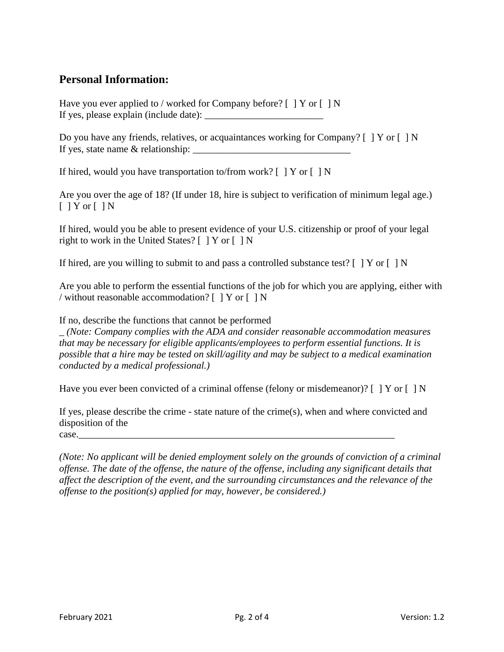## **Personal Information:**

Have you ever applied to / worked for Company before? [ ] Y or [ ] N If yes, please explain (include date):

Do you have any friends, relatives, or acquaintances working for Company? [ ] Y or [ ] N If yes, state name  $&$  relationship:

If hired, would you have transportation to/from work?  $[ | Y \text{ or } [ | ]$  N

Are you over the age of 18? (If under 18, hire is subject to verification of minimum legal age.)  $[$   $]$   $Y$  or  $[$   $]$   $N$ 

If hired, would you be able to present evidence of your U.S. citizenship or proof of your legal right to work in the United States? [ ] Y or [ ] N

If hired, are you willing to submit to and pass a controlled substance test?  $[ \ ]$  Y or  $[ \ ]$  N

Are you able to perform the essential functions of the job for which you are applying, either with / without reasonable accommodation? [ ] Y or [ ] N

If no, describe the functions that cannot be performed

\_ *(Note: Company complies with the ADA and consider reasonable accommodation measures that may be necessary for eligible applicants/employees to perform essential functions. It is possible that a hire may be tested on skill/agility and may be subject to a medical examination conducted by a medical professional.)* 

Have you ever been convicted of a criminal offense (felony or misdemeanor)? [ ] Y or [ ] N

If yes, please describe the crime - state nature of the crime(s), when and where convicted and disposition of the  $case.$ 

*(Note: No applicant will be denied employment solely on the grounds of conviction of a criminal offense. The date of the offense, the nature of the offense, including any significant details that affect the description of the event, and the surrounding circumstances and the relevance of the offense to the position(s) applied for may, however, be considered.)*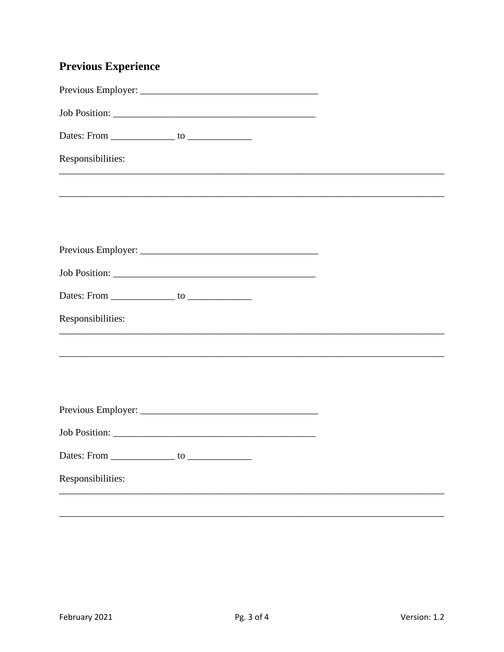## **Previous Experience**

| Responsibilities: |  |
|-------------------|--|
|                   |  |
|                   |  |
|                   |  |
|                   |  |
| Responsibilities: |  |
|                   |  |
|                   |  |
|                   |  |
|                   |  |
|                   |  |
| Responsibilities: |  |
|                   |  |